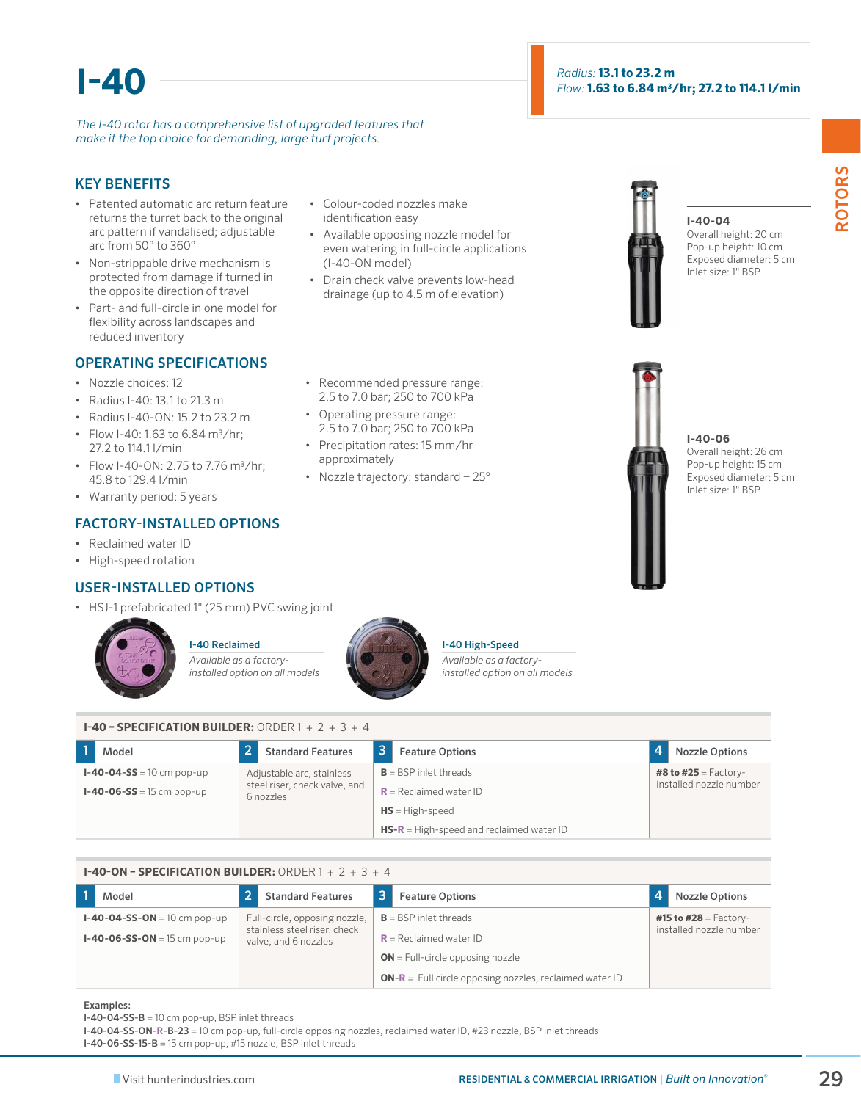# **I-40**

*The I-40 rotor has a comprehensive list of upgraded features that make it the top choice for demanding, large turf projects.*

#### KEY BENEFITS

- Patented automatic arc return feature returns the turret back to the original arc pattern if vandalised; adjustable arc from 50° to 360°
- Non-strippable drive mechanism is protected from damage if turned in the opposite direction of travel
- Part- and full-circle in one model for flexibility across landscapes and reduced inventory

### OPERATING SPECIFICATIONS

- Nozzle choices: 12
- Radius I-40: 13.1 to 21.3 m
- Radius I-40-ON: 15.2 to 23.2 m
- Flow I-40: 1.63 to 6.84 m3/hr; 27.2 to 114.1 l/min
- Flow I-40-ON: 2.75 to 7.76 m3/hr; 45.8 to 129.4 l/min
- Warranty period: 5 years

# FACTORY-INSTALLED OPTIONS

- Reclaimed water ID
- High-speed rotation

# USER-INSTALLED OPTIONS

• HSJ-1 prefabricated 1" (25 mm) PVC swing joint



#### I-40 Reclaimed

*Available as a factoryinstalled option on all models*



#### I-40 High-Speed

*Available as a factoryinstalled option on all models*

**I-40 – SPECIFICATION BUILDER:** ORDER 1 + 2 + 3 + 4

| Model                             | <b>Standard Features</b>                   | <b>Feature Options</b>                     | <b>Nozzle Options</b>       |
|-----------------------------------|--------------------------------------------|--------------------------------------------|-----------------------------|
| $I - 40 - 04 - SS = 10$ cm pop-up | Adjustable arc, stainless                  | $B = BSP$ inlet threads                    | <b>#8 to #25</b> = Factory- |
| $I - 40 - 06 - SS = 15$ cm pop-up | steel riser, check valve, and<br>6 nozzles | $R =$ Reclaimed water ID                   | installed nozzle number     |
|                                   |                                            | $HS = High-speed$                          |                             |
|                                   |                                            | $HS-R = High-speed$ and reclaimed water ID |                             |

| <b>I-40-ON - SPECIFICATION BUILDER:</b> ORDER $1 + 2 + 3 + 4$ |                                                      |   |                                                                |                         |
|---------------------------------------------------------------|------------------------------------------------------|---|----------------------------------------------------------------|-------------------------|
| Model                                                         | <b>Standard Features</b>                             | 3 | <b>Feature Options</b>                                         | <b>Nozzle Options</b>   |
| $I - 40 - 04 - SS - ON = 10$ cm pop-up                        | Full-circle, opposing nozzle,                        |   | $B = BSP$ inlet threads                                        | #15 to #28 = Factory-   |
| $I - 40 - 06 - SS - ON = 15$ cm pop-up                        | stainless steel riser, check<br>valve, and 6 nozzles |   | $R =$ Reclaimed water ID                                       | installed nozzle number |
|                                                               |                                                      |   | $ON = Full-circle opposing nozzle$                             |                         |
|                                                               |                                                      |   | <b>ON-R</b> = Full circle opposing nozzles, reclaimed water ID |                         |

Examples:

I-40-04-SS-B = 10 cm pop-up, BSP inlet threads

I-40-04-SS-ON-R-B-23 = 10 cm pop-up, full-circle opposing nozzles, reclaimed water ID, #23 nozzle, BSP inlet threads

I-40-06-SS-15-B = 15 cm pop-up, #15 nozzle, BSP inlet threads

even watering in full-circle applications (I-40-ON model)

• Colour-coded nozzles make identification easy

• Drain check valve prevents low-head drainage (up to 4.5 m of elevation)

• Available opposing nozzle model for

- Recommended pressure range: 2.5 to 7.0 bar; 250 to 700 kPa
- Operating pressure range: 2.5 to 7.0 bar; 250 to 700 kPa
- Precipitation rates: 15 mm/hr approximately
- Nozzle trajectory: standard =  $25^{\circ}$



#### **I-40-04**

Overall height: 20 cm Pop-up height: 10 cm Exposed diameter: 5 cm Inlet size: 1" BSP



#### **I-40-06**

Overall height: 26 cm Pop-up height: 15 cm Exposed diameter: 5 cm Inlet size: 1" BSP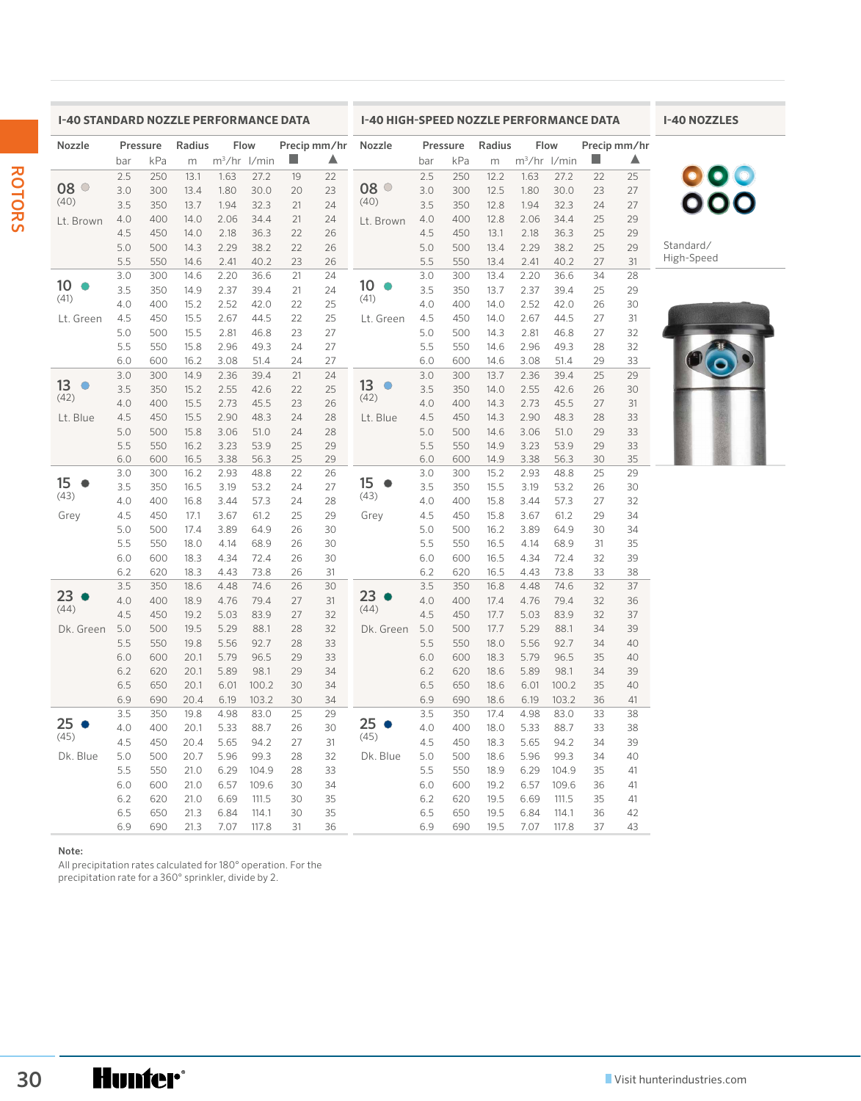| Nozzle                                                         | Pressure<br>Radius<br>Flow<br>Precip mm/hr |            |              |              |                |          |          | Nozzle          | Flow<br>Pressure<br>Radius |            |              |                | Precip mm/hr   |          |          |            |
|----------------------------------------------------------------|--------------------------------------------|------------|--------------|--------------|----------------|----------|----------|-----------------|----------------------------|------------|--------------|----------------|----------------|----------|----------|------------|
|                                                                | bar                                        | kPa        | m            |              | $m^3/hr$ l/min |          | ▲        |                 | bar                        | kPa        | m            | $m^3/hr$ l/min |                |          | ▲        |            |
|                                                                | 2.5                                        | 250        | 13.1         | 1.63         | 27.2           | 19       | 22       |                 | 2.5                        | 250        | 12.2         | 1.63           | 27.2           | 22       | 25       | 000<br>000 |
| $08^\circ$                                                     | 3.0                                        | 300        | 13.4         | 1.80         | 30.0           | 20       | 23       | $08^\circ$      | 3.0                        | 300        | 12.5         | 1.80           | 30.0           | 23       | 27       |            |
| (40)                                                           | 3.5                                        | 350        | 13.7         | 1.94         | 32.3           | 21       | 24       | (40)            | 3.5                        | 350        | 12.8         | 1.94           | 32.3           | 24       | 27       |            |
|                                                                | 4.0                                        | 400        | 14.0         | 2.06         | 34.4           | 21       | 24       |                 | 4.0                        | 400        | 12.8         | 2.06           | 34.4           | 25       | 29       |            |
| Lt. Brown                                                      | 4.5                                        | 450        | 14.0         | 2.18         | 36.3           | 22       | 26       | Lt. Brown       | 4.5                        | 450        | 13.1         | 2.18           | 36.3           | 25       | 29       |            |
|                                                                | 5.0                                        | 500        | 14.3         | 2.29         | 38.2           | 22       | 26       |                 | 5.0                        | 500        | 13.4         | 2.29           | 38.2           | 25       | 29       | Standard/  |
|                                                                | 5.5                                        | 550        | 14.6         | 2.41         | 40.2           | 23       | 26       |                 | 5.5                        | 550        | 13.4         | 2.41           | 40.2           | 27       | 31       | High-Speed |
|                                                                | 3.0                                        | 300        | 14.6         | 2.20         | 36.6           | 21       | 24       |                 | 3.0                        | 300        | 13.4         | 2.20           | 36.6           | 34       | 28       |            |
| 10 <sup>°</sup><br>$\bullet$                                   | 3.5                                        | 350        | 14.9         | 2.37         | 39.4           | 21       | 24       | 10 <sub>o</sub> | 3.5                        | 350        | 13.7         | 2.37           | 39.4           | 25       | 29       |            |
| (41)                                                           | 4.0                                        | 400        | 15.2         | 2.52         | 42.0           | 22       | 25       | (41)            | 4.0                        | 400        | 14.0         | 2.52           | 42.0           | 26       | 30       |            |
| Lt. Green                                                      | 4.5                                        | 450        | 15.5         | 2.67         | 44.5           | 22       | 25       | Lt. Green       | 4.5                        | 450        | 14.0         | 2.67           | 44.5           | 27       | 31       |            |
|                                                                | 5.0                                        | 500        | 15.5         | 2.81         | 46.8           | 23       | 27       |                 | 5.0                        | 500        | 14.3         | 2.81           | 46.8           | 27       | 32       |            |
|                                                                | 5.5                                        | 550        | 15.8         | 2.96         | 49.3           | 24       | 27       |                 | 5.5                        | 550        | 14.6         | 2.96           | 49.3           | 28       | 32       |            |
|                                                                | 6.0                                        | 600        | 16.2         | 3.08         | 51.4           | 24       | 27       |                 | 6.0                        | 600        | 14.6         | 3.08           | 51.4           | 29       | 33       |            |
|                                                                | 3.0                                        | 300        | 14.9         | 2.36         | 39.4           | 21       | 24       |                 | 3.0                        | 300        | 13.7         | 2.36           | 39.4           | 25       | 29       |            |
| 13<br>$\circ$                                                  | 3.5                                        | 350        | 15.2         | 2.55         | 42.6           | 22       | 25       | 13<br>$\circ$   | 3.5                        | 350        | 14.0         | 2.55           | 42.6           | 26       | 30       |            |
| (42)                                                           | 4.0                                        | 400        | 15.5         | 2.73         | 45.5           | 23       | 26       | (42)            | 4.0                        | 400        | 14.3         | 2.73           | 45.5           | 27       | 31       |            |
| Lt. Blue                                                       | 4.5                                        | 450        | 15.5         | 2.90         | 48.3           | 24       | 28       | Lt. Blue        | 4.5                        | 450        | 14.3         | 2.90           | 48.3           | 28       | 33       |            |
|                                                                | 5.0                                        | 500        | 15.8         | 3.06         | 51.0           | 24       | 28       |                 | 5.0                        | 500        | 14.6         | 3.06           | 51.0           | 29       | 33       |            |
|                                                                | 5.5                                        | 550        | 16.2         | 3.23         | 53.9           | 25       | 29       |                 | 5.5                        | 550        | 14.9         | 3.23           | 53.9           | 29       | 33       |            |
|                                                                | 6.0                                        | 600        | 16.5         | 3.38         | 56.3           | 25       | 29       |                 | 6.0                        | 600        | 14.9         | 3.38           | 56.3           | 30       | 35       |            |
|                                                                | 3.0                                        | 300        | 16.2         | 2.93         | 48.8           | 22       | 26       |                 | 3.0                        | 300        | 15.2         | 2.93           | 48.8           | 25       | 29       |            |
| 15                                                             | 3.5                                        | 350        | 16.5         | 3.19         | 53.2           | 24       | 27       | 15              | 3.5                        | 350        | 15.5         | 3.19           | 53.2           | 26       | 30       |            |
| (43)                                                           | 4.0                                        | 400        | 16.8         | 3.44         | 57.3           | 24       | 28       | (43)            | 4.0                        | 400        | 15.8         | 3.44           | 57.3           | 27       | 32       |            |
| Grey                                                           | 4.5                                        | 450        | 17.1         | 3.67         | 61.2           | 25       | 29       | Grey            | 4.5                        | 450        | 15.8         | 3.67           | 61.2           | 29       | 34       |            |
|                                                                | 5.0                                        | 500        | 17.4         | 3.89         | 64.9           | 26       | 30       |                 | 5.0                        | 500        | 16.2         | 3.89           | 64.9           | 30       | 34       |            |
|                                                                | 5.5                                        | 550        | 18.0         | 4.14         | 68.9           | 26       | 30       |                 | 5.5                        | 550        | 16.5         | 4.14           | 68.9           | 31       | 35       |            |
|                                                                | 6.0                                        | 600        | 18.3         | 4.34         | 72.4           | 26       | 30       |                 | 6.0                        | 600        | 16.5         | 4.34           | 72.4           | 32       | 39       |            |
|                                                                | 6.2                                        | 620        | 18.3         | 4.43         | 73.8           | 26       | 31       |                 | 6.2                        | 620        | 16.5         | 4.43           | 73.8           | 33       | 38       |            |
|                                                                | 3.5                                        | 350        | 18.6         | 4.48         | 74.6           | 26       | 30       |                 | 3.5                        | 350        | 16.8         | 4.48           | 74.6           | 32       | 37       |            |
| 23                                                             | 4.0                                        | 400        | 18.9         | 4.76         | 79.4           | 27       | 31       | 23 <sub>o</sub> | 4.0                        | 400        | 17.4         | 4.76           | 79.4           | 32       | 36       |            |
| (44)                                                           | 4.5                                        | 450        | 19.2         | 5.03         | 83.9           | 27       | 32       | (44)            | 4.5                        | 450        | 17.7         | 5.03           | 83.9           | 32       | 37       |            |
| Dk. Green                                                      | 5.0                                        | 500        | 19.5         | 5.29         | 88.1           | 28       | 32       | Dk. Green       | 5.0                        | 500        | 17.7         | 5.29           | 88.1           | 34       | 39       |            |
|                                                                | 5.5                                        | 550        | 19.8         | 5.56         | 92.7           | 28       | 33       |                 | 5.5                        | 550        | 18.0         | 5.56           | 92.7           | 34       | 40       |            |
|                                                                | 6.0                                        | 600        | 20.1         | 5.79         | 96.5           | 29       | 33       |                 | 6.0                        | 600        | 18.3         | 5.79           | 96.5           | 35       | 40       |            |
|                                                                | 6.2                                        | 620        | 20.1         | 5.89         | 98.1           | 29       | 34       |                 | 6.2                        | 620        | 18.6         | 5.89           | 98.1           | 34       | 39       |            |
|                                                                | 6.5                                        | 650        | 20.1         | 6.01         | 100.2          | 30       | 34       |                 | 6.5                        | 650        | 18.6         | 6.01           | 100.2          | 35       | 40       |            |
|                                                                | 6.9                                        | 690        | 20.4         | 6.19         | 103.2          | 30       | 34       |                 | 6.9                        | 690        | 18.6         | 6.19           | 103.2          | 36       | 41       |            |
| 25 <sub>o</sub>                                                | 3.5                                        | 350        | 19.8         | 4.98         | 83.0           | 25       | 29       | 25 <sub>o</sub> | 3.5                        | 350        | 17.4         | 4.98           | 83.0           | 33       | 38       |            |
| (45)                                                           | 4.0                                        | 400        | 20.1         | 5.33         | 88.7           | 26       | 30       | (45)            | 4.0                        | 400        | 18.0         | 5.33           | 88.7           | 33       | 38       |            |
|                                                                | 4.5                                        | 450        | 20.4         | 5.65         | 94.2           | 27       | 31       |                 | 4.5                        | 450        | 18.3         | 5.65           | 94.2           | 34       | 39       |            |
| Dk. Blue                                                       | 5.0                                        | 500        | 20.7         | 5.96         | 99.3           | 28       | 32       | Dk. Blue        | 5.0                        | 500        | 18.6         | 5.96           | 99.3           | 34       | 40       |            |
|                                                                | 5.5<br>6.0                                 | 550<br>600 | 21.0<br>21.0 | 6.29<br>6.57 | 104.9          | 28<br>30 | 33       |                 | 5.5<br>6.0                 | 550        | 18.9<br>19.2 | 6.29<br>6.57   | 104.9<br>109.6 | 35<br>36 | 41       |            |
|                                                                | 6.2                                        | 620        |              | 6.69         | 109.6<br>111.5 | 30       | 34<br>35 |                 | 6.2                        | 600<br>620 | 19.5         | 6.69           | 111.5          | 35       | 41<br>41 |            |
|                                                                | 6.5                                        | 650        | 21.0<br>21.3 | 6.84         | 114.1          | 30       | 35       |                 | 6.5                        | 650        | 19.5         | 6.84           | 114.1          | 36       | 42       |            |
|                                                                | 6.9                                        | 690        | 21.3         | 7.07         | 117.8          | 31       | 36       |                 | 6.9                        | 690        | 19.5         | 7.07           | 117.8          | 37       | 43       |            |
|                                                                |                                            |            |              |              |                |          |          |                 |                            |            |              |                |                |          |          |            |
| Note:                                                          |                                            |            |              |              |                |          |          |                 |                            |            |              |                |                |          |          |            |
| All precipitation rates calculated for 180° operation. For the |                                            |            |              |              |                |          |          |                 |                            |            |              |                |                |          |          |            |
| precipitation rate for a 360° sprinkler, divide by 2.          |                                            |            |              |              |                |          |          |                 |                            |            |              |                |                |          |          |            |
|                                                                |                                            |            |              |              |                |          |          |                 |                            |            |              |                |                |          |          |            |
|                                                                |                                            |            |              |              |                |          |          |                 |                            |            |              |                |                |          |          |            |
|                                                                |                                            |            |              |              |                |          |          |                 |                            |            |              |                |                |          |          |            |
|                                                                |                                            |            |              |              |                |          |          |                 |                            |            |              |                |                |          |          |            |
|                                                                |                                            |            |              |              |                |          |          |                 |                            |            |              |                |                |          |          |            |
|                                                                |                                            |            |              |              |                |          |          |                 |                            |            |              |                |                |          |          |            |
|                                                                |                                            |            |              |              |                |          |          |                 |                            |            |              |                |                |          |          |            |
|                                                                |                                            |            |              |              |                |          |          |                 |                            |            |              |                |                |          |          |            |
|                                                                |                                            |            |              |              |                |          |          |                 |                            |            |              |                |                |          |          |            |
|                                                                |                                            |            |              |              |                |          |          |                 |                            |            |              |                |                |          |          |            |
|                                                                |                                            |            |              |              |                |          |          |                 |                            |            |              |                |                |          |          |            |
|                                                                |                                            |            |              |              |                |          |          |                 |                            |            |              |                |                |          |          |            |

# **I-40 NOZZLES**

#### Note: